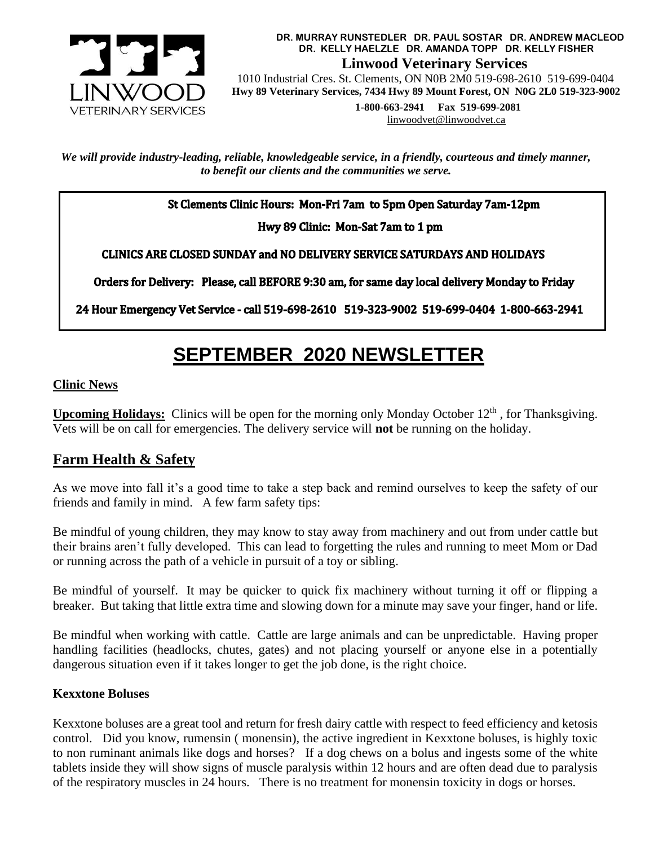

**DR. MURRAY RUNSTEDLER DR. PAUL SOSTAR DR. ANDREW MACLEOD DR. KELLY HAELZLE DR. AMANDA TOPP DR. KELLY FISHER Linwood Veterinary Services**

 1010 Industrial Cres. St. Clements, ON N0B 2M0 519-698-2610 519-699-0404  **Hwy 89 Veterinary Services, 7434 Hwy 89 Mount Forest, ON N0G 2L0 519-323-9002**

> **1-800-663-2941 Fax 519-699-2081** [linwoodvet@linwoodvet.ca](mailto:linwoodvet@linwoodvet.ca)

*We will provide industry-leading, reliable, knowledgeable service, in a friendly, courteous and timely manner, to benefit our clients and the communities we serve.*

St Clements Clinic Hours: Mon-Fri 7am to 5pm Open Saturday 7am-12pm

Hwy 89 Clinic: Mon-Sat 7am to 1 pm

**CLINICS ARE CLOSED SUNDAY and NO DELIVERY SERVICE SATURDAYS AND HOLIDAYS** 

Orders for Delivery: Please, call BEFORE 9:30 am, for same day local delivery Monday to Friday

24 Hour Emergency Vet Service - call 519-698-2610 519-323-9002 519-699-0404 1-800-663-2941

# **SEPTEMBER 2020 NEWSLETTER**

#### **Clinic News**

**Upcoming Holidays:** Clinics will be open for the morning only Monday October 12<sup>th</sup>, for Thanksgiving. Vets will be on call for emergencies. The delivery service will **not** be running on the holiday.

## **Farm Health & Safety**

As we move into fall it's a good time to take a step back and remind ourselves to keep the safety of our friends and family in mind. A few farm safety tips:

Be mindful of young children, they may know to stay away from machinery and out from under cattle but their brains aren't fully developed. This can lead to forgetting the rules and running to meet Mom or Dad or running across the path of a vehicle in pursuit of a toy or sibling.

Be mindful of yourself. It may be quicker to quick fix machinery without turning it off or flipping a breaker. But taking that little extra time and slowing down for a minute may save your finger, hand or life.

Be mindful when working with cattle. Cattle are large animals and can be unpredictable. Having proper handling facilities (headlocks, chutes, gates) and not placing yourself or anyone else in a potentially dangerous situation even if it takes longer to get the job done, is the right choice.

#### **Kexxtone Boluses**

Kexxtone boluses are a great tool and return for fresh dairy cattle with respect to feed efficiency and ketosis control. Did you know, rumensin ( monensin), the active ingredient in Kexxtone boluses, is highly toxic to non ruminant animals like dogs and horses? If a dog chews on a bolus and ingests some of the white tablets inside they will show signs of muscle paralysis within 12 hours and are often dead due to paralysis of the respiratory muscles in 24 hours. There is no treatment for monensin toxicity in dogs or horses.